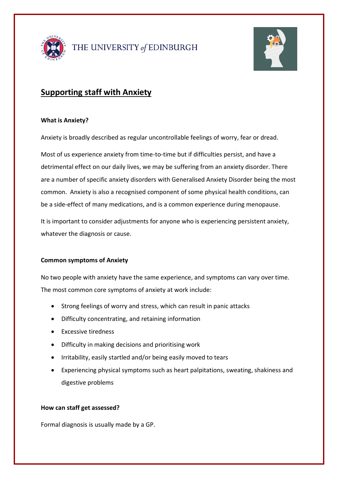



# **Supporting staff with Anxiety**

### **What is Anxiety?**

Anxiety is broadly described as regular uncontrollable feelings of worry, fear or dread.

Most of us experience anxiety from time-to-time but if difficulties persist, and have a detrimental effect on our daily lives, we may be suffering from an anxiety disorder. There are a number of specific anxiety disorders with Generalised Anxiety Disorder being the most common. Anxiety is also a recognised component of some physical health conditions, can be a side-effect of many medications, and is a common experience during menopause.

It is important to consider adjustments for anyone who is experiencing persistent anxiety, whatever the diagnosis or cause.

#### **Common symptoms of Anxiety**

No two people with anxiety have the same experience, and symptoms can vary over time. The most common core symptoms of anxiety at work include:

- Strong feelings of worry and stress, which can result in panic attacks
- Difficulty concentrating, and retaining information
- Excessive tiredness
- Difficulty in making decisions and prioritising work
- Irritability, easily startled and/or being easily moved to tears
- Experiencing physical symptoms such as heart palpitations, sweating, shakiness and digestive problems

## **How can staff get assessed?**

Formal diagnosis is usually made by a GP.